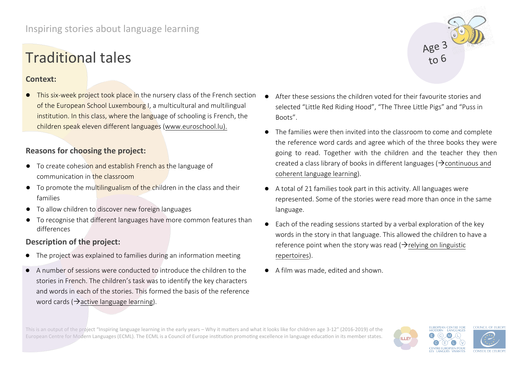# Traditional tales

### **Context:**

**•** This six-week project took place in the nursery class of the French section of the European School Luxembourg I, a multicultural and multilingual institution. In this class, where the language of schooling is French, the children speak eleven different languages (www.euroschool.lu).

# **Reasons for choosing the project:**

- To create cohesion and establish French as the language of communication in the classroom
- To promote the multilingualism of the children in the class and their families
- To allow children to discover new foreign languages
- To recognise that different languages have more common features than differences

# **Description of the project:**

- The project was explained to families during an information meeting
- A number of sessions were conducted to introduce the children to the stories in French. The children's task was to identify the key characters and words in each of the stories. This formed the basis of the reference word cards ( $\rightarrow$ active language learning).
- After these sessions the children voted for their favourite stories and selected "Little Red Riding Hood", "The Three Little Pigs" and "Puss in Boots".
- The families were then invited into the classroom to come and complete the reference word cards and agree which of the three books they were going to read. Together with the children and the teacher they then created a class library of books in different languages ( $\rightarrow$  continuous and coherent language learning).
- A total of 21 families took part in this activity. All languages were represented. Some of the stories were read more than once in the same language.
- Each of the reading sessions started by a verbal exploration of the key words in the story in that language. This allowed the children to have a reference point when the story was read  $\rightarrow$  relying on linguistic repertoires).
- A film was made, edited and shown.

[This is an output of the project "Inspi](http://www.ecml.at/inspiringearlylearning)ring language learning in the early years – Why it matters and what it looks like for children age 3-12" (2016-2019) of the European Centre for Modern Languages (ECML). The ECML is a Council of Europe institution promoting excellence in language education in its member states.



Age  $3$ <br>to 6